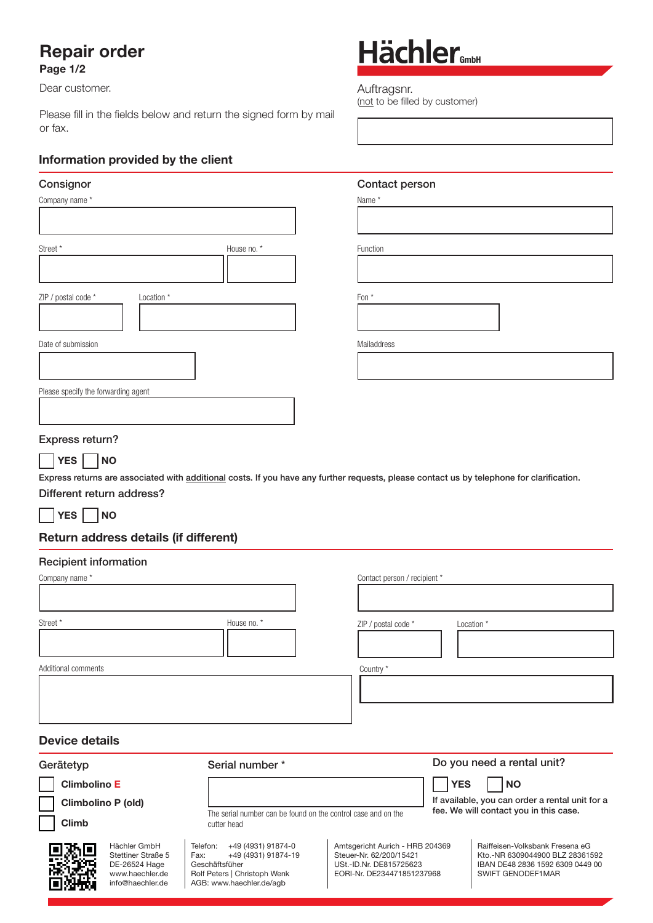## Repair order

#### Page 1/2

Dear customer.

Please fill in the fields below and return the signed form by mail or fax.

### Information provided by the client

#### **Consignor**

| Company name *      |            |             | Name *      |
|---------------------|------------|-------------|-------------|
|                     |            |             |             |
| Street *            |            | House no. * | Function    |
|                     |            |             |             |
| ZIP / postal code * | Location * |             | Fon *       |
|                     |            |             |             |
| Date of submission  |            |             | Mailaddress |

Please specify the forwarding agent

#### Express return?



Express returns are associated with additional costs. If you have any further requests, please contact us by telephone for clarification.

#### Different return address?

YES NO

### Return address details (if different)

Stettiner Straße 5 DE-26524 Hage www.haechler.de info@haechler.de

#### Recipient information

| Company name *                                            |                                                                              | Contact person / recipient *    |                                                                                                                      |
|-----------------------------------------------------------|------------------------------------------------------------------------------|---------------------------------|----------------------------------------------------------------------------------------------------------------------|
| Street *                                                  | House no. *                                                                  | ZIP / postal code *             | Location *                                                                                                           |
| Additional comments                                       |                                                                              | Country *                       |                                                                                                                      |
| <b>Device details</b><br>Gerätetyp                        | Serial number*                                                               |                                 | Do you need a rental unit?                                                                                           |
| <b>Climbolino E</b><br>Climbolino P (old)<br><b>Climb</b> | The serial number can be found on the control case and on the<br>cutter head |                                 | <b>YES</b><br><b>NO</b><br>If available, you can order a rental unit for a<br>fee. We will contact you in this case. |
| oma<br>Hächler GmbH                                       | Telefon:<br>+49 (4931) 91874-0                                               | Amtsgericht Aurich - HRB 204369 | Raiffeisen-Volksbank Fresena eG                                                                                      |

 Steuer-Nr. 62/200/15421 USt.-ID.Nr. DE815725623 EORI-Nr. DE234471851237968  Kto.-NR 6309044900 BLZ 28361592 IBAN DE48 2836 1592 6309 0449 00

SWIFT GENODEF1MAR

Telefon: +49 (4931) 91874-0<br>Fax: +49 (4931) 91874-19 +49 (4931) 91874-19 Geschäftsfüher Rolf Peters | Christoph Wenk AGB: www.haechler.de/agb

# Hächler<sub>GmbH</sub>

Auftragsnr. (not to be filled by customer)

#### Contact person

Name \*